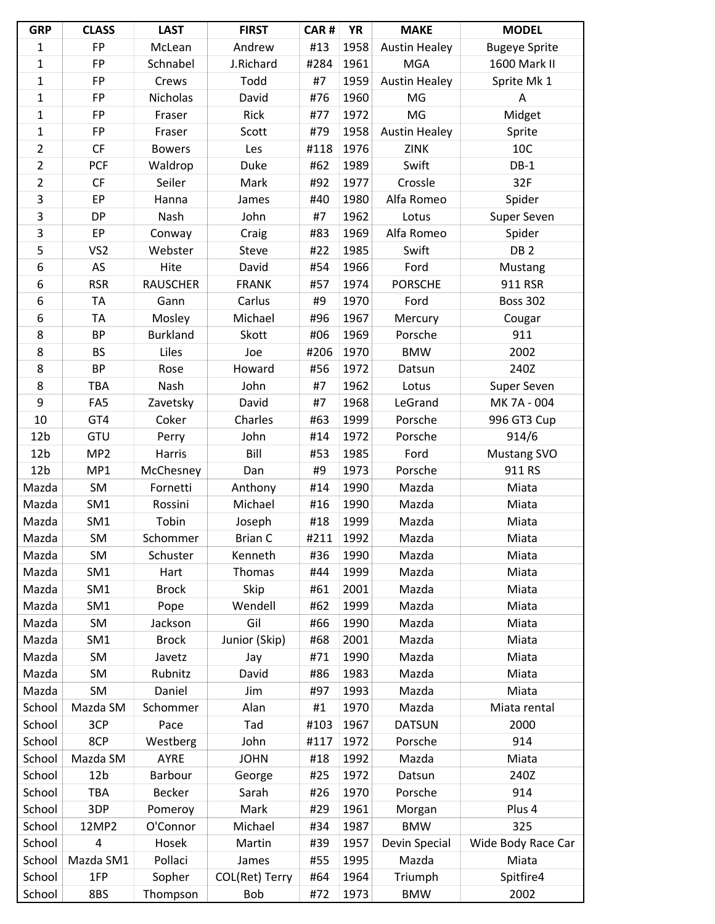| <b>GRP</b>      | <b>CLASS</b>    | <b>LAST</b>     | <b>FIRST</b>   | CAR# | <b>YR</b> | <b>MAKE</b>          | <b>MODEL</b>         |
|-----------------|-----------------|-----------------|----------------|------|-----------|----------------------|----------------------|
| 1               | <b>FP</b>       | McLean          | Andrew         | #13  | 1958      | <b>Austin Healey</b> | <b>Bugeye Sprite</b> |
| $\mathbf 1$     | FP              | Schnabel        | J.Richard      | #284 | 1961      | <b>MGA</b>           | 1600 Mark II         |
| $\mathbf{1}$    | <b>FP</b>       | Crews           | Todd           | #7   | 1959      | <b>Austin Healey</b> | Sprite Mk 1          |
| 1               | <b>FP</b>       | Nicholas        | David          | #76  | 1960      | MG                   | A                    |
| $\mathbf{1}$    | FP              | Fraser          | Rick           | #77  | 1972      | MG                   | Midget               |
| 1               | <b>FP</b>       | Fraser          | Scott          | #79  | 1958      | <b>Austin Healey</b> | Sprite               |
| $\overline{2}$  | CF              | <b>Bowers</b>   | Les            | #118 | 1976      | <b>ZINK</b>          | 10C                  |
| $\overline{2}$  | <b>PCF</b>      | Waldrop         | Duke           | #62  | 1989      | Swift                | $DB-1$               |
| $\overline{2}$  | CF              | Seiler          | Mark           | #92  | 1977      | Crossle              | 32F                  |
| 3               | EP              | Hanna           | James          | #40  | 1980      | Alfa Romeo           | Spider               |
| 3               | <b>DP</b>       | Nash            | John           | #7   | 1962      | Lotus                | Super Seven          |
| 3               | EP              | Conway          | Craig          | #83  | 1969      | Alfa Romeo           | Spider               |
| 5               | VS <sub>2</sub> | Webster         | Steve          | #22  | 1985      | Swift                | DB <sub>2</sub>      |
| 6               | AS              | Hite            | David          | #54  | 1966      | Ford                 | Mustang              |
| 6               | <b>RSR</b>      | <b>RAUSCHER</b> | <b>FRANK</b>   | #57  | 1974      | <b>PORSCHE</b>       | 911 RSR              |
| 6               | <b>TA</b>       | Gann            | Carlus         | #9   | 1970      | Ford                 | <b>Boss 302</b>      |
| 6               | <b>TA</b>       | Mosley          | Michael        | #96  | 1967      | Mercury              | Cougar               |
| 8               | <b>BP</b>       | <b>Burkland</b> | Skott          | #06  | 1969      | Porsche              | 911                  |
| 8               | <b>BS</b>       | Liles           | Joe            | #206 | 1970      | <b>BMW</b>           | 2002                 |
| 8               | <b>BP</b>       | Rose            | Howard         | #56  | 1972      | Datsun               | 240Z                 |
| 8               | TBA             | Nash            | John           | #7   | 1962      | Lotus                | Super Seven          |
| 9               | FA <sub>5</sub> | Zavetsky        | David          | #7   | 1968      | LeGrand              | MK 7A - 004          |
| 10              | GT4             | Coker           | Charles        | #63  | 1999      | Porsche              | 996 GT3 Cup          |
| 12 <sub>b</sub> | GTU             | Perry           | John           | #14  | 1972      | Porsche              | 914/6                |
| 12 <sub>b</sub> | MP <sub>2</sub> | Harris          | Bill           | #53  | 1985      | Ford                 | <b>Mustang SVO</b>   |
| 12 <sub>b</sub> | MP1             | McChesney       | Dan            | #9   | 1973      | Porsche              | 911 RS               |
| Mazda           | SM              | Fornetti        | Anthony        | #14  | 1990      | Mazda                | Miata                |
| Mazda           | SM1             | Rossini         | Michael        | #16  | 1990      | Mazda                | Miata                |
| Mazda           | SM <sub>1</sub> | Tobin           | Joseph         | #18  | 1999      | Mazda                | Miata                |
| Mazda           | SM              | Schommer        | <b>Brian C</b> | #211 | 1992      | Mazda                | Miata                |
| Mazda           | SM              | Schuster        | Kenneth        | #36  | 1990      | Mazda                | Miata                |
| Mazda           | SM <sub>1</sub> | Hart            | Thomas         | #44  | 1999      | Mazda                | Miata                |
| Mazda           | SM1             | <b>Brock</b>    | Skip           | #61  | 2001      | Mazda                | Miata                |
| Mazda           | SM1             | Pope            | Wendell        | #62  | 1999      | Mazda                | Miata                |
| Mazda           | SM              | Jackson         | Gil            | #66  | 1990      | Mazda                | Miata                |
| Mazda           | SM <sub>1</sub> | <b>Brock</b>    | Junior (Skip)  | #68  | 2001      | Mazda                | Miata                |
| Mazda           | SM              | Javetz          | Jay            | #71  | 1990      | Mazda                | Miata                |
| Mazda           | <b>SM</b>       | Rubnitz         | David          | #86  | 1983      | Mazda                | Miata                |
| Mazda           | SM              | Daniel          | Jim            | #97  | 1993      | Mazda                | Miata                |
| School          | Mazda SM        | Schommer        | Alan           | #1   | 1970      | Mazda                | Miata rental         |
| School          | 3CP             | Pace            | Tad            | #103 | 1967      | <b>DATSUN</b>        | 2000                 |
| School          | 8CP             | Westberg        | John           | #117 | 1972      | Porsche              | 914                  |
| School          | Mazda SM        | <b>AYRE</b>     | <b>JOHN</b>    | #18  | 1992      | Mazda                | Miata                |
| School          | 12 <sub>b</sub> | Barbour         | George         | #25  | 1972      | Datsun               | 240Z                 |
| School          | TBA             | <b>Becker</b>   | Sarah          | #26  | 1970      | Porsche              | 914                  |
| School          | 3DP             | Pomeroy         | Mark           | #29  | 1961      | Morgan               | Plus 4               |
| School          | 12MP2           | O'Connor        | Michael        | #34  | 1987      | <b>BMW</b>           | 325                  |
| School          | 4               | Hosek           | Martin         | #39  | 1957      | Devin Special        | Wide Body Race Car   |
| School          | Mazda SM1       | Pollaci         | James          | #55  | 1995      | Mazda                | Miata                |
| School          | 1FP             | Sopher          | COL(Ret) Terry | #64  | 1964      | Triumph              | Spitfire4            |
| School          | 8BS             | Thompson        | Bob            | #72  | 1973      | <b>BMW</b>           | 2002                 |